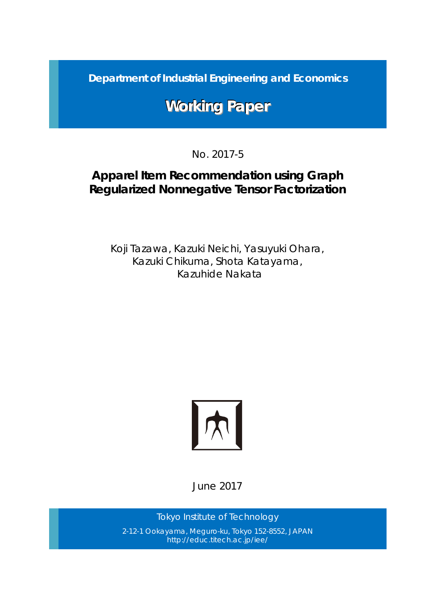*Department of Industrial Engineering and Economics*

# **Working Paper**

No. 2017-5

# *Apparel Item Recommendation using Graph Regularized Nonnegative Tensor Factorization*

Koji Tazawa, Kazuki Neichi, Yasuyuki Ohara, Kazuki Chikuma, Shota Katayama, Kazuhide Nakata



June 2017

*Tokyo Institute of Technology* 2-12-1 Ookayama, Meguro-ku, Tokyo 152-8552, JAPAN http://educ.titech.ac.jp/iee/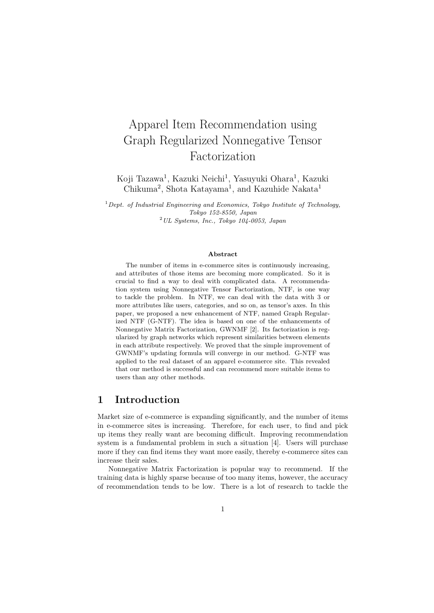# Apparel Item Recommendation using Graph Regularized Nonnegative Tensor Factorization

Koji Tazawa<sup>1</sup>, Kazuki Neichi<sup>1</sup>, Yasuyuki Ohara<sup>1</sup>, Kazuki Chikuma<sup>2</sup>, Shota Katayama<sup>1</sup>, and Kazuhide Nakata<sup>1</sup>

<sup>1</sup>*Dept. of Industrial Engineering and Economics, Tokyo Institute of Technology, Tokyo 152-8550, Japan* <sup>2</sup>*UL Systems, Inc., Tokyo 104-0053, Japan*

#### **Abstract**

The number of items in e-commerce sites is continuously increasing, and attributes of those items are becoming more complicated. So it is crucial to find a way to deal with complicated data. A recommendation system using Nonnegative Tensor Factorization, NTF, is one way to tackle the problem. In NTF, we can deal with the data with 3 or more attributes like users, categories, and so on, as tensor's axes. In this paper, we proposed a new enhancement of NTF, named Graph Regularized NTF (G-NTF). The idea is based on one of the enhancements of Nonnegative Matrix Factorization, GWNMF [2]. Its factorization is regularized by graph networks which represent similarities between elements in each attribute respectively. We proved that the simple improvement of GWNMF's updating formula will converge in our method. G-NTF was applied to the real dataset of an apparel e-commerce site. This revealed that our method is successful and can recommend more suitable items to users than any other methods.

### **1 Introduction**

Market size of e-commerce is expanding significantly, and the number of items in e-commerce sites is increasing. Therefore, for each user, to find and pick up items they really want are becoming difficult. Improving recommendation system is a fundamental problem in such a situation [4]. Users will purchase more if they can find items they want more easily, thereby e-commerce sites can increase their sales.

Nonnegative Matrix Factorization is popular way to recommend. If the training data is highly sparse because of too many items, however, the accuracy of recommendation tends to be low. There is a lot of research to tackle the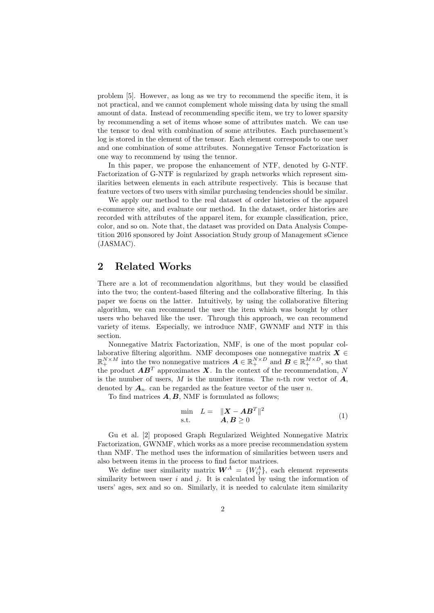problem [5]. However, as long as we try to recommend the specific item, it is not practical, and we cannot complement whole missing data by using the small amount of data. Instead of recommending specific item, we try to lower sparsity by recommending a set of items whose some of attributes match. We can use the tensor to deal with combination of some attributes. Each purchasement's log is stored in the element of the tensor. Each element corresponds to one user and one combination of some attributes. Nonnegative Tensor Factorization is one way to recommend by using the tennor.

In this paper, we propose the enhancement of NTF, denoted by G-NTF. Factorization of G-NTF is regularized by graph networks which represent similarities between elements in each attribute respectively. This is because that feature vectors of two users with similar purchasing tendencies should be similar.

We apply our method to the real dataset of order histories of the apparel e-commerce site, and evaluate our method. In the dataset, order histories are recorded with attributes of the apparel item, for example classification, price, color, and so on. Note that, the dataset was provided on Data Analysis Competition 2016 sponsored by Joint Association Study group of Management sCience (JASMAC).

## **2 Related Works**

There are a lot of recommendation algorithms, but they would be classified into the two; the content-based filtering and the collaborative filtering. In this paper we focus on the latter. Intuitively, by using the collaborative filtering algorithm, we can recommend the user the item which was bought by other users who behaved like the user. Through this approach, we can recommend variety of items. Especially, we introduce NMF, GWNMF and NTF in this section.

Nonnegative Matrix Factorization, NMF, is one of the most popular collaborative filtering algorithm. NMF decomposes one nonnegative matrix  $X \in$  $\mathbb{R}^{N \times M}_{+}$  into the two nonnegative matrices  $\boldsymbol{A} \in \mathbb{R}^{N \times D}_{+}$  and  $\boldsymbol{B} \in \mathbb{R}^{M \times D}_{+}$ , so that the product  $\mathbf{A}\mathbf{B}^T$  approximates  $\mathbf{X}$ . In the context of the recommendation,  $N$ is the number of users, *M* is the number items. The *n*-th row vector of *A*, denoted by  $A_n$  can be regarded as the feature vector of the user *n*.

To find matrices *A, B*, NMF is formulated as follows;

$$
\min_{\mathbf{S}.\mathbf{t}} \quad L = \quad \|\mathbf{X} - \mathbf{A}\mathbf{B}^T\|^2
$$
\n
$$
\text{s.t.} \quad \mathbf{A}, \mathbf{B} \ge 0 \tag{1}
$$

Gu et al. [2] proposed Graph Regularized Weighted Nonnegative Matrix Factorization, GWNMF, which works as a more precise recommendation system than NMF. The method uses the information of similarities between users and also between items in the process to find factor matrices.

We define user similarity matrix  $W^A = \{W^A_{ij}\}\$ , each element represents similarity between user  $i$  and  $j$ . It is calculated by using the information of users' ages, sex and so on. Similarly, it is needed to calculate item similarity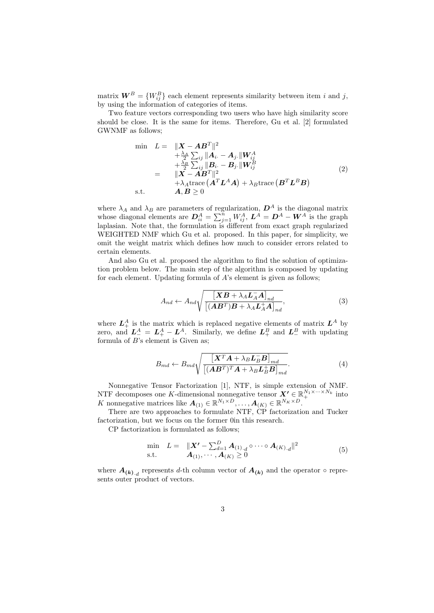matrix  $W^B = \{W_{ij}^B\}$  each element represents similarity between item *i* and *j*, by using the information of categories of items.

Two feature vectors corresponding two users who have high similarity score should be close. It is the same for items. Therefore, Gu et al. [2] formulated GWNMF as follows;

$$
\begin{aligned}\n\min \quad & L = \quad \|\mathbf{X} - \mathbf{A}\mathbf{B}^T\|^2 \\
&+ \frac{\lambda_A}{2} \sum_{ij} \|\mathbf{A}_i - \mathbf{A}_j.\| \mathbf{W}_{ij}^A \\
&+ \frac{\lambda_B}{2} \sum_{ij} \|\mathbf{B}_i - \mathbf{B}_j.\| \mathbf{W}_{ij}^B \\
&= \quad \|\mathbf{X} - \mathbf{A}\mathbf{B}^T\|^2 \\
&+ \lambda_A \text{trace} \left(\mathbf{A}^T \mathbf{L}^A \mathbf{A}\right) + \lambda_B \text{trace} \left(\mathbf{B}^T \mathbf{L}^B \mathbf{B}\right) \\
\text{s.t.} \qquad & \mathbf{A}, \mathbf{B} \geq 0\n\end{aligned} \tag{2}
$$

where  $\lambda_A$  and  $\lambda_B$  are parameters of regularization,  $D^A$  is the diagonal matrix whose diagonal elements are  $D_{ii}^A = \sum_{j=1}^n W_{ij}^A$ ,  $L^A = D^A - W^A$  is the graph laplasian. Note that, the formulation is different from exact graph regularized WEIGHTED NMF which Gu et al. proposed. In this paper, for simplicity, we omit the weight matrix which defines how much to consider errors related to certain elements.

And also Gu et al. proposed the algorithm to find the solution of optimization problem below. The main step of the algorithm is composed by updating for each element. Updating formula of *A*'s element is given as follows;

$$
A_{nd} \leftarrow A_{nd} \sqrt{\frac{\left[\boldsymbol{X}\boldsymbol{B} + \lambda_{A}\boldsymbol{L}_{A}^{-}\boldsymbol{A}\right]_{nd}}{\left[\left(\boldsymbol{A}\boldsymbol{B}^{T}\right)\boldsymbol{B} + \lambda_{A}\boldsymbol{L}_{A}^{+}\boldsymbol{A}\right]_{nd}}},\tag{3}
$$

where  $L_+^A$  is the matrix which is replaced negative elements of matrix  $L^A$  by zero, and  $L_{-}^{A} = L_{+}^{A} - L_{-}^{A}$ . Similarly, we define  $L_{+}^{B}$  and  $L_{-}^{B}$  with updating formula of *B*'s element is Given as;

$$
B_{md} \leftarrow B_{md} \sqrt{\frac{\left[\boldsymbol{X}^T \boldsymbol{A} + \lambda_B \boldsymbol{L}_B^- \boldsymbol{B}\right]_{md}}{\left[(\boldsymbol{A} \boldsymbol{B}^T)^T \boldsymbol{A} + \lambda_B \boldsymbol{L}_B^+ \boldsymbol{B}\right]_{md}}}. \tag{4}
$$

Nonnegative Tensor Factorization [1], NTF, is simple extension of NMF. NTF decomposes one *K*-dimensional nonnegative tensor  $X' \in \mathbb{R}_+^{N_1 \times \cdots \times N_k}$  into *K* nonnegative matrices like  $A_{(1)} \in \mathbb{R}^{N_1 \times D}, \ldots, A_{(K)} \in \mathbb{R}^{N_K \times D}$ .

There are two approaches to formulate NTF, CP factorization and Tucker factorization, but we focus on the former 0in this research.

CP factorization is formulated as follows;

$$
\min_{\mathbf{S}.\mathbf{t}} L = \| \mathbf{X'} - \sum_{d=1}^{D} \mathbf{A}_{(1),d} \circ \cdots \circ \mathbf{A}_{(K),d} \|^2
$$
\n
$$
\text{s.t.} \qquad \mathbf{A}_{(1)}, \cdots, \mathbf{A}_{(K)} \ge 0 \tag{5}
$$

where  $A_{(k),d}$  represents *d*-th column vector of  $A_{(k)}$  and the operator  $\circ$  represents outer product of vectors.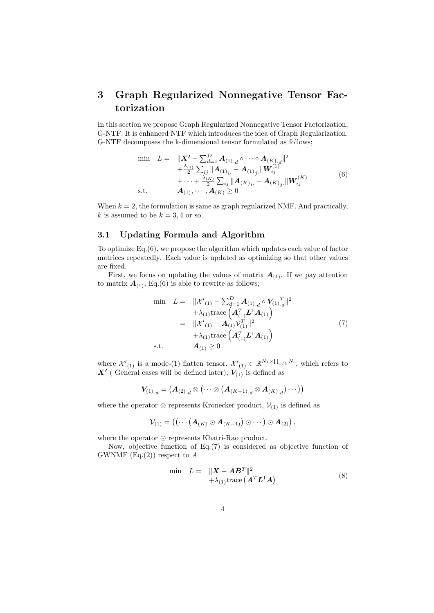# **3 Graph Regularized Nonnegative Tensor Factorization**

In this section we propose Graph Regularized Nonnegative Tensor Factorization, G-NTF. It is enhanced NTF which introduces the idea of Graph Regularization. G-NTF decomposes the k-dimensional tensor formulated as follows;

$$
\min \quad L = \quad \|\mathbf{X'} - \sum_{d=1}^{D} \mathbf{A}_{(1),d} \circ \cdots \circ \mathbf{A}_{(K),d} \|^2 \n+ \frac{\lambda_{(1)}}{2} \sum_{ij} \|\mathbf{A}_{(1)_i.} - \mathbf{A}_{(1)_j.} \|\mathbf{W}_{ij}^{(1)} \n+ \cdots + \frac{\lambda_{(K)}}{2} \sum_{ij} \|\mathbf{A}_{(K)_i.} - \mathbf{A}_{(K)_j.} \|\mathbf{W}_{ij}^{(K)} \tag{6}
$$
\ns.t. 
$$
\mathbf{A}_{(1)}, \cdots, \mathbf{A}_{(K)} \ge 0
$$

When  $k = 2$ , the formulation is same as graph regularized NMF. And practically, *k* is assumed to be  $k = 3, 4$  or so.

### **3.1 Updating Formula and Algorithm**

To optimize Eq.(6), we propose the algorithm which updates each value of factor matrices repeatedly. Each value is updated as optimizing so that other values are fixed.

First, we focus on updating the values of matrix  $A_{(1)}$ . If we pay attention to matrix  $A_{(1)}$ , Eq.(6) is able to rewrite as follows;

$$
\begin{aligned}\n\min \quad L &= \quad \|\mathcal{X}'_{(1)} - \sum_{d=1}^{D} \mathbf{A}_{(1),d} \circ \mathbf{V}_{(1),d} \|^2 \\
&+ \lambda_{(1)} \text{trace} \left( \mathbf{A}_{(1)}^T \mathbf{L}^1 \mathbf{A}_{(1)} \right) \\
&= \quad \|\mathcal{X}'_{(1)} - \mathbf{A}_{(1)} \mathcal{V}_{(1)}^T \|^2 \\
&+ \lambda_{(1)} \text{trace} \left( \mathbf{A}_{(1)}^T \mathbf{L}^1 \mathbf{A}_{(1)} \right) \\
\text{s.t.} \qquad \mathbf{A}_{(1)} &\geq 0\n\end{aligned} \tag{7}
$$

where  $\mathcal{X}'_{(1)}$  is a mode-(1) flatten tensor,  $\mathcal{X}'_{(1)} \in \mathbb{R}^{N_1 \times \prod_{i \neq 1} N_i}$ , which refers to  $X'$  ( General cases will be defined later),  $V_{(1)}$  is defined as

$$
\boldsymbol{V}_{(1)._{d}} = \big(\boldsymbol{A}_{(2)._{d}} \otimes \big( \cdots \otimes \big( \boldsymbol{A}_{(K-1)._{d}} \otimes \boldsymbol{A}_{(K)._{d}} \big) \cdots \big)\big)
$$

where the operator  $\otimes$  represents Kronecker product,  $\mathcal{V}_{(1)}$  is defined as

$$
\mathcal{V}_{(1)} = \left( \left( \cdots \left( \boldsymbol{A}_{(K)} \odot \boldsymbol{A}_{(K-1)} \right) \odot \cdots \right) \odot \boldsymbol{A}_{(2)} \right),
$$

where the operator *⊙* represents Khatri-Rao product.

Now, objective function of Eq.(7) is considered as objective function of GWNMF (Eq.(2)) respect to *A*

$$
\begin{array}{rcl}\n\min & L = & \| \mathbf{X} - \mathbf{A} \mathbf{B}^T \|^2 \\
& + \lambda_{(1)} \text{trace} \left( \mathbf{A}^T \mathbf{L}^1 \mathbf{A} \right)\n\end{array} \tag{8}
$$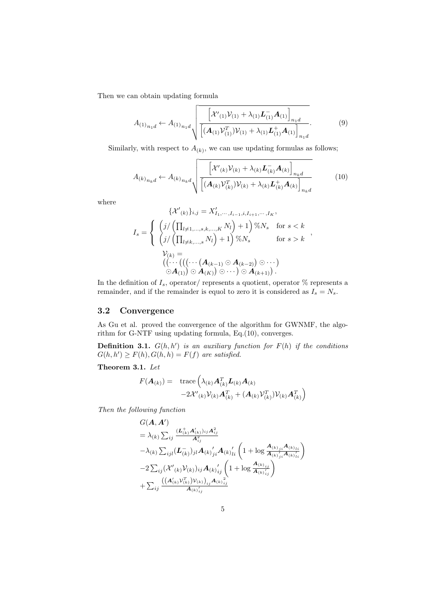Then we can obtain updating formula

$$
A_{(1)_{n_1d}} \leftarrow A_{(1)_{n_1d}} \sqrt{\frac{\left[\mathcal{X'}_{(1)}\mathcal{V}_{(1)} + \lambda_{(1)}\mathcal{L}_{(1)}^{-}\mathcal{A}_{(1)}\right]_{n_1d}}{\left[\left(\mathcal{A}_{(1)}\mathcal{V}_{(1)}^{T}\right)\mathcal{V}_{(1)} + \lambda_{(1)}\mathcal{L}_{(1)}^{+}\mathcal{A}_{(1)}\right]_{n_1d}}}. \tag{9}
$$

Similarly, with respect to  $A_{(k)}$ , we can use updating formulas as follows;

$$
A_{(k)_{n_k d}} \leftarrow A_{(k)_{n_k d}} \sqrt{\frac{\left[{\mathcal{X}'(k)\mathcal{V}(k) + \lambda(k)\mathbf{L}_{(k)}^- \mathbf{A}(k)}\right]_{n_k d}}{\left[({\mathbf{A}(k)\mathcal{V}_{(k)}^T)\mathcal{V}(k) + \lambda(k)\mathbf{L}_{(k)}^+ \mathbf{A}(k)}\right]_{n_k d}}}
$$
(10)

where

$$
\{\mathcal{X}'(k)\}_{i,j} = X'_{I_1, \dots, I_{i-1}, i, I_{i+1}, \dots, I_K},
$$
\n
$$
I_s = \begin{cases}\n\left(j/\left(\prod_{l \neq 1, \dots, s, k, \dots, K} N_l\right) + 1\right) \% N_s & \text{for } s < k \\
\left(j/\left(\prod_{l \neq k, \dots, s} N_l\right) + 1\right) \% N_s & \text{for } s > k\n\end{cases},
$$
\n
$$
\begin{aligned}\nV(k) &= \\
& \left((\cdots \left(\left((\cdots \left(A_{(k-1)} \odot A_{(k-2)}\right) \odot \cdots\right) - A_{(k+1)}\right))\right) .\n\end{aligned}
$$

In the definition of  $I_s$ , operator/ represents a quotient, operator  $\%$  represents a remainder, and if the remainder is equol to zero it is considered as  $I_s = N_s$ .

### **3.2 Convergence**

As Gu et al. proved the convergence of the algorithm for GWNMF, the algorithm for G-NTF using updating formula, Eq.(10), converges.

**Definition 3.1.**  $G(h, h')$  is an auxiliary function for  $F(h)$  if the conditions  $G(h, h') \geq F(h), G(h, h) = F(f)$  are satisfied.

**Theorem 3.1.** *Let*

$$
F(\boldsymbol{A}_{(k)}) = \operatorname{trace}\left(\lambda_{(k)}\boldsymbol{A}_{(k)}^T\boldsymbol{L}_{(k)}\boldsymbol{A}_{(k)}\right) -2\mathcal{X'}_{(k)}\mathcal{V}_{(k)}\boldsymbol{A}_{(k)}^T + (\boldsymbol{A}_{(k)}\mathcal{V}_{(k)}^T)\mathcal{V}_{(k)}\boldsymbol{A}_{(k)}^T\right)
$$

*Then the following function*

$$
G(\mathbf{A}, \mathbf{A}') = \lambda_{(k)} \sum_{ij} \frac{(\mathbf{L}_{(k)}^{\dagger} \mathbf{A}_{(k)}')_{ij} \mathbf{A}_{ij}^{2}}{\mathbf{A}_{ij}^{2}} \n- \lambda_{(k)} \sum_{ijl} (\mathbf{L}_{(k)}^{\dagger})_{jl} \mathbf{A}_{(k)}'_{ij} \mathbf{A}_{(k)}'_{li} \left(1 + \log \frac{\mathbf{A}_{(k)}_{ji} \mathbf{A}_{(k)}_{li}}{\mathbf{A}_{(k)}'_{ji} \mathbf{A}_{(k)}'_{li}}\right) \n- 2 \sum_{ij} (\mathcal{X'}_{(k)} \mathcal{V}_{(k)})_{ij} \mathbf{A}_{(k)}'_{ij} \left(1 + \log \frac{\mathbf{A}_{(k)}_{ij}}{\mathbf{A}_{(k)}'_{ij}}\right) \n+ \sum_{ij} \frac{((\mathbf{A}_{(k)}' \mathcal{V}_{(k)}^{T}) \mathcal{V}_{(k)})_{ij} \mathbf{A}_{(k)}^{2}}{\mathbf{A}_{(k)}'_{ij}}
$$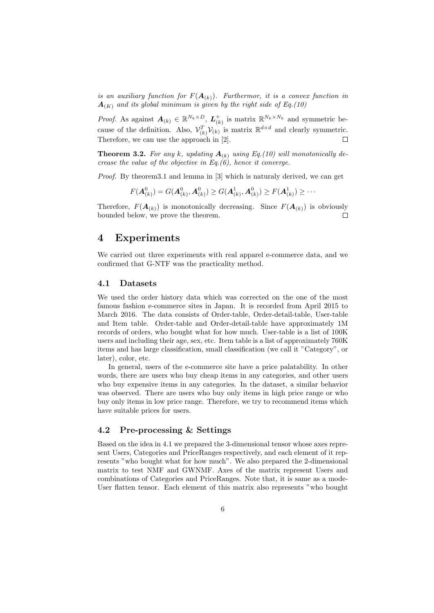*is an auxiliary function for*  $F(A_{(k)})$ *. Furthermor, it is a convex function in*  $A_{(K)}$  and its global minimum is given by the right side of Eq.(10)

*Proof.* As against  $A_{(k)} \in \mathbb{R}^{N_k \times D}$ ,  $L_{(k)}^+$  is matrix  $\mathbb{R}^{N_k \times N_k}$  and symmetric because of the definition. Also,  $\mathcal{V}_{(k)}^T \mathcal{V}_{(k)}$  is matrix  $\mathbb{R}^{d \times d}$  and clearly symmetric. Therefore, we can use the approach in [2].  $\Box$ 

**Theorem 3.2.** For any  $k$ , updating  $A_{(k)}$  using Eq.(10) will monotonically de*crease the value of the objective in Eq.(6), hence it converge.*

*Proof.* By theorem3.1 and lemma in [3] which is naturaly derived, we can get

$$
F(\mathbf{A}^0_{(k)}) = G(\mathbf{A}^0_{(k)}, \mathbf{A}^0_{(k)}) \ge G(\mathbf{A}^1_{(k)}, \mathbf{A}^0_{(k)}) \ge F(\mathbf{A}^1_{(k)}) \ge \cdots
$$

Therefore,  $F(\mathbf{A}_{(k)})$  is monotonically decreasing. Since  $F(\mathbf{A}_{(k)})$  is obviously bounded below, we prove the theorem. П

## **4 Experiments**

We carried out three experiments with real apparel e-commerce data, and we confirmed that G-NTF was the practicality method.

#### **4.1 Datasets**

We used the order history data which was corrected on the one of the most famous fashion e-commerce sites in Japan. It is recorded from April 2015 to March 2016. The data consists of Order-table, Order-detail-table, User-table and Item table. Order-table and Order-detail-table have approximately 1M records of orders, who bought what for how much. User-table is a list of 100K users and including their age, sex, etc. Item table is a list of approximately 760K items and has large classification, small classification (we call it "Category", or later), color, etc.

In general, users of the e-commerce site have a price palatability. In other words, there are users who buy cheap items in any categories, and other users who buy expensive items in any categories. In the dataset, a similar behavior was observed. There are users who buy only items in high price range or who buy only items in low price range. Therefore, we try to recommend items which have suitable prices for users.

#### **4.2 Pre-processing & Settings**

Based on the idea in 4.1 we prepared the 3-dimensional tensor whose axes represent Users, Categories and PriceRanges respectively, and each element of it represents "who bought what for how much". We also prepared the 2-dimensional matrix to test NMF and GWNMF. Axes of the matrix represent Users and combinations of Categories and PriceRanges. Note that, it is same as a mode-User flatten tensor. Each element of this matrix also represents "who bought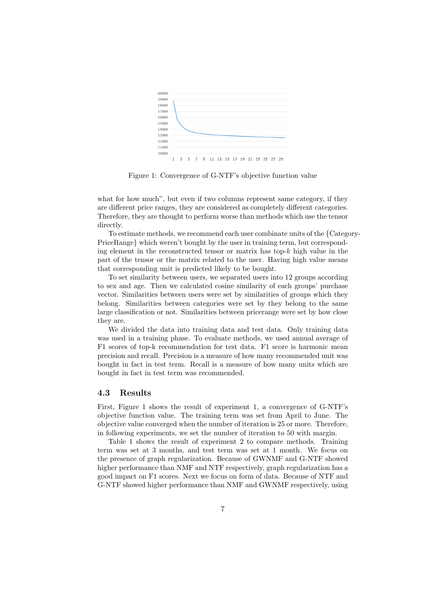

Figure 1: Convergence of G-NTF's objective function value

what for how much", but even if two columns represent same category, if they are different price ranges, they are considered as completely different categories. Therefore, they are thought to perform worse than methods which use the tensor directly.

To estimate methods, we recommend each user combinate units of the *{*Category-PriceRange*}* which weren't bought by the user in training term, but corresponding element in the reconstructed tensor or matrix has top-*k* high value in the part of the tensor or the matrix related to the user. Having high value means that corresponding unit is predicted likely to be bought.

To set similarity between users, we separated users into 12 groups according to sex and age. Then we calculated cosine similarity of each groups' purchase vector. Similarities between users were set by similarities of groups which they belong. Similarities between categories were set by they belong to the same large classification or not. Similarities between pricerange were set by how close they are.

We divided the data into training data and test data. Only training data was used in a training phase. To evaluate methods, we used annual average of F1 scores of top-k recommendation for test data. F1 score is harmonic mean precision and recall. Precision is a measure of how many recommended unit was bought in fact in test term. Recall is a measure of how many units which are bought in fact in test term was recommended.

#### **4.3 Results**

First, Figure 1 shows the result of experiment 1, a convergence of G-NTF's objective function value. The training term was set from April to June. The objective value converged when the number of iteration is 25 or more. Therefore, in following experiments, we set the number of iteration to 50 with margin.

Table 1 shows the result of experiment 2 to compare methods. Training term was set at 3 months, and test term was set at 1 month. We focus on the presence of graph regularization. Because of GWNMF and G-NTF showed higher performance than NMF and NTF respectively, graph regularization has a good impact on F1 scores. Next we focus on form of data. Because of NTF and G-NTF showed higher performance than NMF and GWNMF respectively, using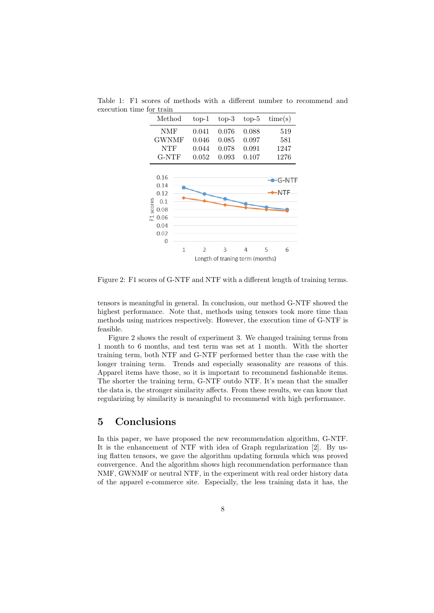

Table 1: F1 scores of methods with a different number to recommend and execution time for train

Figure 2: F1 scores of G-NTF and NTF with a different length of training terms.

tensors is meaningful in general. In conclusion, our method G-NTF showed the highest performance. Note that, methods using tensors took more time than methods using matrices respectively. However, the execution time of G-NTF is feasible.

Figure 2 shows the result of experiment 3. We changed training terms from 1 month to 6 months, and test term was set at 1 month. With the shorter training term, both NTF and G-NTF performed better than the case with the longer training term. Trends and especially seasonality are reasons of this. Apparel items have those, so it is important to recommend fashionable items. The shorter the training term, G-NTF outdo NTF. It's mean that the smaller the data is, the stronger similarity affects. From these results, we can know that regularizing by similarity is meaningful to recommend with high performance.

## **5 Conclusions**

In this paper, we have proposed the new recommendation algorithm, G-NTF. It is the enhancement of NTF with idea of Graph regularization [2]. By using flatten tensors, we gave the algorithm updating formula which was proved convergence. And the algorithm shows high recommendation performance than NMF, GWNMF or neutral NTF, in the experiment with real order history data of the apparel e-commerce site. Especially, the less training data it has, the